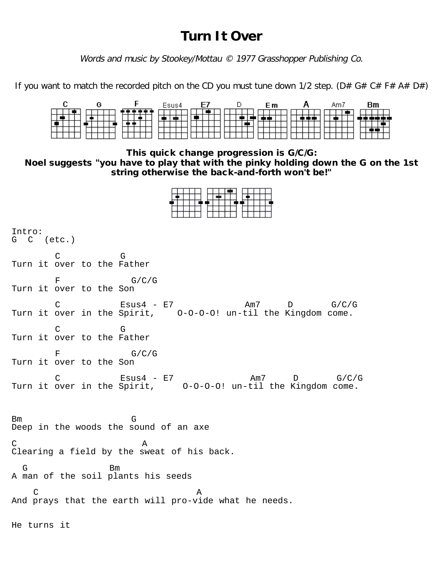## **Turn It Over**

Words and music by Stookey/Mottau © 1977 Grasshopper Publishing Co.

If you want to match the recorded pitch on the CD you must tune down 1/2 step. (D# G# C# F# A# D#)

|  | Esus4 | -E7 | Εm | Am7 | Вm |
|--|-------|-----|----|-----|----|
|  |       |     |    |     |    |
|  |       |     |    |     |    |
|  |       |     |    |     |    |
|  |       |     |    |     |    |
|  |       |     |    |     |    |

This quick change progression is G/C/G:

Noel suggests "you have to play that with the pinky holding down the G on the 1st string otherwise the back-and-forth won't be!"

| Intro:<br>G C (etc.)                                                                                                 |
|----------------------------------------------------------------------------------------------------------------------|
| C<br>G<br>Turn it over to the Father                                                                                 |
| $\mathbf F$<br>G/C/G<br>Turn it over to the Son                                                                      |
| $Essus4$ - $E7$<br>Am7 $D$ $G/C/G$<br>$\mathcal{C}$<br>Turn it over in the Spirit, 0-0-0-0! un-til the Kingdom come. |
| C<br>G<br>Turn it over to the Father                                                                                 |
| G/C/G<br>F<br>Turn it over to the Son                                                                                |
| C Esus4 - E7 Am7 D G/C/G<br>Turn it over in the Spirit, 0-0-0-0! un-til the Kingdom come.<br>Am7 $D$ G/C/G           |
| G<br>Bm<br>Deep in the woods the sound of an axe                                                                     |
| C.<br>Α<br>Clearing a field by the sweat of his back.                                                                |
| G<br>Bm<br>A man of the soil plants his seeds                                                                        |
| $\mathcal{C}$<br>Α<br>And prays that the earth will pro-vide what he needs.                                          |
|                                                                                                                      |

He turns it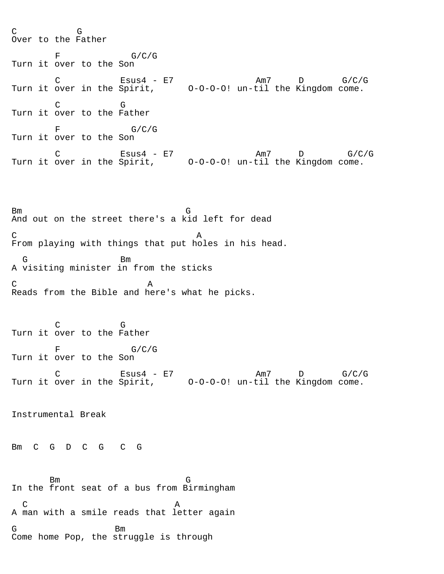C G Over to the Father  $F$  G/C/G Turn it over to the Son C Esus4 - E7 Am7 D G/C/G Turn it over in the Spirit, O-O-O-O! un-til the Kingdom come. C G Turn it over to the Father  $F$  G/C/G Turn it over to the Son C Esus4 - E7 Am7 D G/C/G Turn it over in the Spirit, O-O-O-O! un-til the Kingdom come.

Bm G And out on the street there's a kid left for dead C<sub>A</sub> From playing with things that put holes in his head. G Bm A visiting minister in from the sticks  $C \t A$ Reads from the Bible and here's what he picks.

 C G Turn it over to the Father  $F$  G/C/G Turn it over to the Son C Esus4 - E7 Am7 D G/C/G Turn it over in the Spirit, O-O-O-O! un-til the Kingdom come.

Instrumental Break

Bm C G D C G C G

 Bm G In the front seat of a bus from Birmingham  $C$  and  $A$ A man with a smile reads that letter again G Bm Come home Pop, the struggle is through